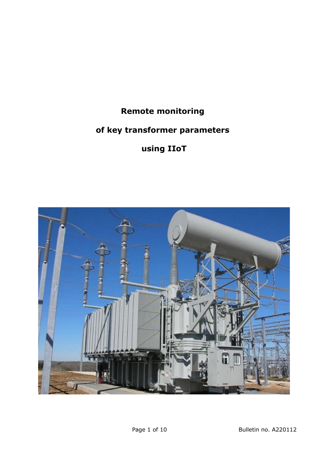## **Remote monitoring**

# **of key transformer parameters**

# **using IIoT**

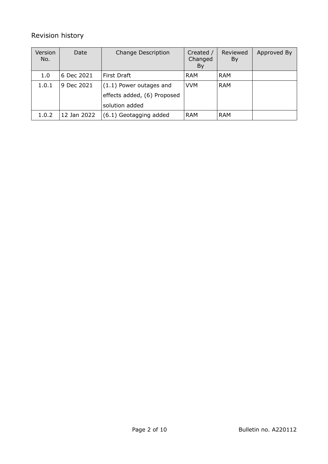### Revision history

| Version<br>No. | Date        | <b>Change Description</b>   | Created /<br>Changed<br>By | Reviewed<br>By | Approved By |
|----------------|-------------|-----------------------------|----------------------------|----------------|-------------|
| 1.0            | 6 Dec 2021  | First Draft                 | <b>RAM</b>                 | <b>RAM</b>     |             |
| 1.0.1          | 9 Dec 2021  | (1.1) Power outages and     | <b>VVM</b>                 | <b>RAM</b>     |             |
|                |             | effects added, (6) Proposed |                            |                |             |
|                |             | solution added              |                            |                |             |
| 1.0.2          | 12 Jan 2022 | (6.1) Geotagging added      | <b>RAM</b>                 | <b>RAM</b>     |             |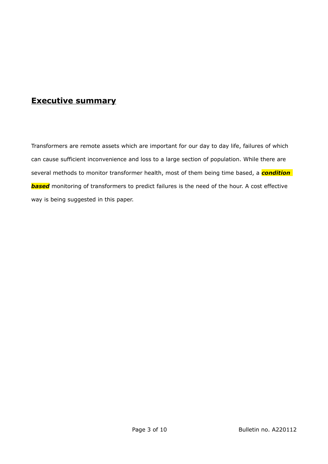## **Executive summary**

Transformers are remote assets which are important for our day to day life, failures of which can cause sufficient inconvenience and loss to a large section of population. While there are several methods to monitor transformer health, most of them being time based, a *condition*  **based** monitoring of transformers to predict failures is the need of the hour. A cost effective way is being suggested in this paper.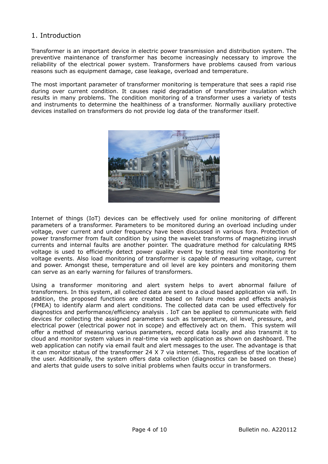#### 1. Introduction

Transformer is an important device in electric power transmission and distribution system. The preventive maintenance of transformer has become increasingly necessary to improve the reliability of the electrical power system. Transformers have problems caused from various reasons such as equipment damage, case leakage, overload and temperature.

The most important parameter of transformer monitoring is temperature that sees a rapid rise during over current condition. It causes rapid degradation of transformer insulation which results in many problems. The condition monitoring of a transformer uses a variety of tests and instruments to determine the healthiness of a transformer. Normally auxiliary protective devices installed on transformers do not provide log data of the transformer itself.



Internet of things (IoT) devices can be effectively used for online monitoring of different parameters of a transformer. Parameters to be monitored during an overload including under voltage, over current and under frequency have been discussed in various fora. Protection of power transformer from fault condition by using the wavelet transforms of magnetizing inrush currents and internal faults are another pointer. The quadrature method for calculating RMS voltage is used to efficiently detect power quality event by testing real time monitoring for voltage events. Also load monitoring of transformer is capable of measuring voltage, current and power. Amongst these, temperature and oil level are key pointers and monitoring them can serve as an early warning for failures of transformers.

Using a transformer monitoring and alert system helps to avert abnormal failure of transformers. In this system, all collected data are sent to a cloud based application via wifi. In addition, the proposed functions are created based on failure modes and effects analysis (FMEA) to identify alarm and alert conditions. The collected data can be used effectively for diagnostics and performance/efficiency analysis . IoT can be applied to communicate with field devices for collecting the assigned parameters such as temperature, oil level, pressure, and electrical power (electrical power not in scope) and effectively act on them. This system will offer a method of measuring various parameters, record data locally and also transmit it to cloud and monitor system values in real-time via web application as shown on dashboard. The web application can notify via email fault and alert messages to the user. The advantage is that it can monitor status of the transformer 24 X 7 via internet. This, regardless of the location of the user. Additionally, the system offers data collection (diagnostics can be based on these) and alerts that guide users to solve initial problems when faults occur in transformers.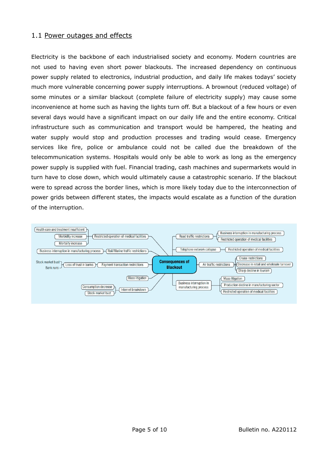#### 1.1 Power outages and effects

Electricity is the backbone of each industrialised society and economy. Modern countries are not used to having even short power blackouts. The increased dependency on continuous power supply related to electronics, industrial production, and daily life makes todays' society much more vulnerable concerning power supply interruptions. A brownout (reduced voltage) of some minutes or a similar blackout (complete failure of electricity supply) may cause some inconvenience at home such as having the lights turn off. But a blackout of a few hours or even several days would have a significant impact on our daily life and the entire economy. Critical infrastructure such as communication and transport would be hampered, the heating and water supply would stop and production processes and trading would cease. Emergency services like fire, police or ambulance could not be called due the breakdown of the telecommunication systems. Hospitals would only be able to work as long as the emergency power supply is supplied with fuel. Financial trading, cash machines and supermarkets would in turn have to close down, which would ultimately cause a catastrophic scenario. If the blackout were to spread across the border lines, which is more likely today due to the interconnection of power grids between different states, the impacts would escalate as a function of the duration of the interruption.

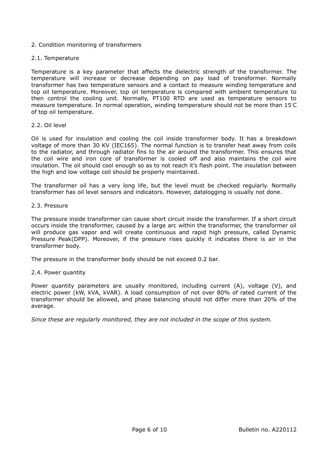#### 2. Condition monitoring of transformers

#### 2.1. Temperature

Temperature is a key parameter that affects the dielectric strength of the transformer. The temperature will increase or decrease depending on pay load of transformer. Normally transformer has two temperature sensors and a contact to measure winding temperature and top oil temperature. Moreover, top oil temperature is compared with ambient temperature to then control the cooling unit. Normally, PT100 RTD are used as temperature sensors to measure temperature. In normal operation, winding temperature should not be more than 15◦C of top oil temperature.

#### 2.2. Oil level

Oil is used for insulation and cooling the coil inside transformer body. It has a breakdown voltage of more than 30 KV (IEC165). The normal function is to transfer heat away from coils to the radiator, and through radiator fins to the air around the transformer. This ensures that the coil wire and iron core of transformer is cooled off and also maintains the coil wire insulation. The oil should cool enough so as to not reach it's flash point. The insulation between the high and low voltage coil should be properly maintained.

The transformer oil has a very long life, but the level must be checked regularly. Normally transformer has oil level sensors and indicators. However, datalogging is usually not done.

#### 2.3. Pressure

The pressure inside transformer can cause short circuit inside the transformer. If a short circuit occurs inside the transformer, caused by a large arc within the transformer, the transformer oil will produce gas vapor and will create continuous and rapid high pressure, called Dynamic Pressure Peak(DPP). Moreover, if the pressure rises quickly it indicates there is air in the transformer body.

The pressure in the transformer body should be not exceed 0.2 bar.

#### 2.4. Power quantity

Power quantity parameters are usually monitored, including current (A), voltage (V), and electric power (kW, kVA, kVAR). A load consumption of not over 80% of rated current of the transformer should be allowed, and phase balancing should not differ more than 20% of the average.

*Since these are regularly monitored, they are not included in the scope of this system.*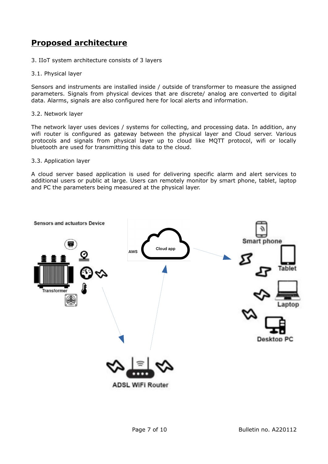## **Proposed architecture**

- 3. IIoT system architecture consists of 3 layers
- 3.1. Physical layer

Sensors and instruments are installed inside / outside of transformer to measure the assigned parameters. Signals from physical devices that are discrete/ analog are converted to digital data. Alarms, signals are also configured here for local alerts and information.

#### 3.2. Network layer

The network layer uses devices / systems for collecting, and processing data. In addition, any wifi router is configured as gateway between the physical layer and Cloud server. Various protocols and signals from physical layer up to cloud like MQTT protocol, wifi or locally bluetooth are used for transmitting this data to the cloud.

#### 3.3. Application layer

A cloud server based application is used for delivering specific alarm and alert services to additional users or public at large. Users can remotely monitor by smart phone, tablet, laptop and PC the parameters being measured at the physical layer.

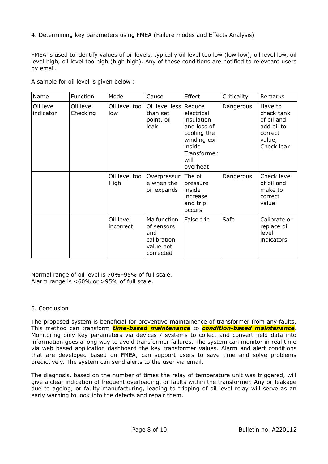4. Determining key parameters using FMEA (Failure modes and Effects Analysis)

FMEA is used to identify values of oil levels, typically oil level too low (low low), oil level low, oil level high, oil level too high (high high). Any of these conditions are notified to releveant users by email.

| Name                   | Function              | Mode                   | Cause                                                                     | Effect                                                                                                               | Criticality | Remarks                                                                              |
|------------------------|-----------------------|------------------------|---------------------------------------------------------------------------|----------------------------------------------------------------------------------------------------------------------|-------------|--------------------------------------------------------------------------------------|
| Oil level<br>indicator | Oil level<br>Checking | Oil level too<br>low   | Oil level less Reduce<br>than set<br>point, oil<br>leak                   | electrical<br>insulation<br>and loss of<br>cooling the<br>winding coil<br>inside.<br>Transformer<br>will<br>overheat | Dangerous   | Have to<br>check tank<br>of oil and<br>add oil to<br>correct<br>value,<br>Check leak |
|                        |                       | Oil level too<br>High  | Overpressur  <br>e when the<br>oil expands                                | The oil<br>pressure<br>inside<br>increase<br>and trip<br>occurs                                                      | Dangerous   | Check level<br>of oil and<br>make to<br>correct<br>value                             |
|                        |                       | Oil level<br>incorrect | Malfunction<br>of sensors<br>and<br>calibration<br>value not<br>corrected | False trip                                                                                                           | Safe        | Calibrate or<br>replace oil<br>level<br>indicators                                   |

A sample for oil level is given below :

Normal range of oil level is 70%–95% of full scale. Alarm range is <60% or >95% of full scale.

#### 5. Conclusion

The proposed system is beneficial for preventive maintainence of transformer from any faults. This method can transform *time-based maintenance* to *condition-based maintenance*. Monitoring only key parameters via devices / systems to collect and convert field data into information goes a long way to avoid transformer failures. The system can monitor in real time via web based application dashboard the key transformer values. Alarm and alert conditions that are developed based on FMEA, can support users to save time and solve problems predictively. The system can send alerts to the user via email.

The diagnosis, based on the number of times the relay of temperature unit was triggered, will give a clear indication of frequent overloading, or faults within the transformer. Any oil leakage due to ageing, or faulty manufacturing, leading to tripping of oil level relay will serve as an early warning to look into the defects and repair them.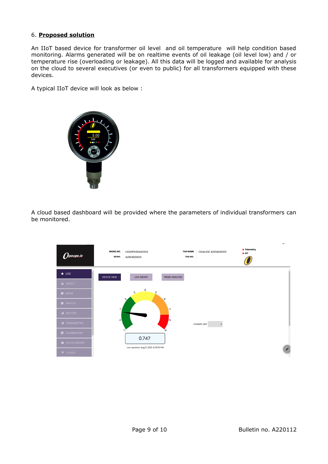#### 6. **Proposed solution**

An IIoT based device for transformer oil level and oil temperature will help condition based monitoring. Alarms generated will be on realtime events of oil leakage (oil level low) and / or temperature rise (overloading or leakage). All this data will be logged and available for analysis on the cloud to several executives (or even to public) for all transformers equipped with these devices.

A typical IIoT device will look as below :



A cloud based dashboard will be provided where the parameters of individual transformers can be monitored.